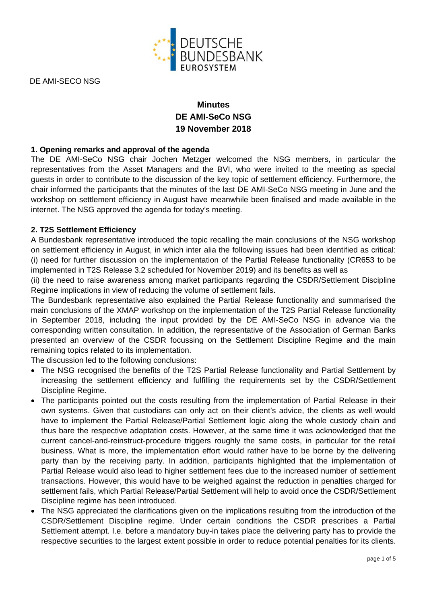

DE AMI-SECO NSG

# **Minutes DE AMI-SeCo NSG 19 November 2018**

## **1. Opening remarks and approval of the agenda**

The DE AMI-SeCo NSG chair Jochen Metzger welcomed the NSG members, in particular the representatives from the Asset Managers and the BVI, who were invited to the meeting as special guests in order to contribute to the discussion of the key topic of settlement efficiency. Furthermore, the chair informed the participants that the minutes of the last DE AMI-SeCo NSG meeting in June and the workshop on settlement efficiency in August have meanwhile been finalised and made available in the internet. The NSG approved the agenda for today's meeting.

#### **2. T2S Settlement Efficiency**

A Bundesbank representative introduced the topic recalling the main conclusions of the NSG workshop on settlement efficiency in August, in which inter alia the following issues had been identified as critical: (i) need for further discussion on the implementation of the Partial Release functionality (CR653 to be implemented in T2S Release 3.2 scheduled for November 2019) and its benefits as well as

(ii) the need to raise awareness among market participants regarding the CSDR/Settlement Discipline Regime implications in view of reducing the volume of settlement fails.

The Bundesbank representative also explained the Partial Release functionality and summarised the main conclusions of the XMAP workshop on the implementation of the T2S Partial Release functionality in September 2018, including the input provided by the DE AMI-SeCo NSG in advance via the corresponding written consultation. In addition, the representative of the Association of German Banks presented an overview of the CSDR focussing on the Settlement Discipline Regime and the main remaining topics related to its implementation.

The discussion led to the following conclusions:

- The NSG recognised the benefits of the T2S Partial Release functionality and Partial Settlement by increasing the settlement efficiency and fulfilling the requirements set by the CSDR/Settlement Discipline Regime.
- The participants pointed out the costs resulting from the implementation of Partial Release in their own systems. Given that custodians can only act on their client's advice, the clients as well would have to implement the Partial Release/Partial Settlement logic along the whole custody chain and thus bare the respective adaptation costs. However, at the same time it was acknowledged that the current cancel-and-reinstruct-procedure triggers roughly the same costs, in particular for the retail business. What is more, the implementation effort would rather have to be borne by the delivering party than by the receiving party. In addition, participants highlighted that the implementation of Partial Release would also lead to higher settlement fees due to the increased number of settlement transactions. However, this would have to be weighed against the reduction in penalties charged for settlement fails, which Partial Release/Partial Settlement will help to avoid once the CSDR/Settlement Discipline regime has been introduced.
- The NSG appreciated the clarifications given on the implications resulting from the introduction of the CSDR/Settlement Discipline regime. Under certain conditions the CSDR prescribes a Partial Settlement attempt. I.e. before a mandatory buy-in takes place the delivering party has to provide the respective securities to the largest extent possible in order to reduce potential penalties for its clients.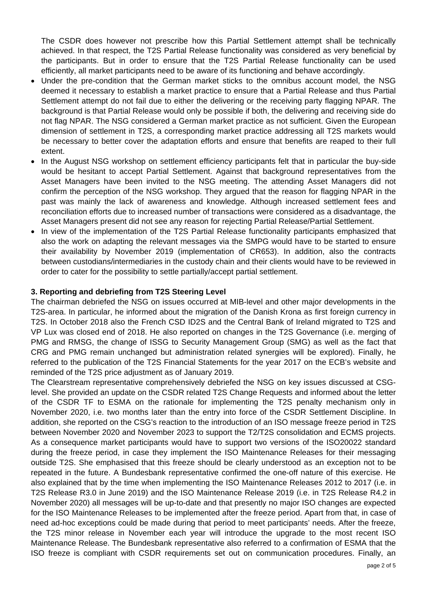The CSDR does however not prescribe how this Partial Settlement attempt shall be technically achieved. In that respect, the T2S Partial Release functionality was considered as very beneficial by the participants. But in order to ensure that the T2S Partial Release functionality can be used efficiently, all market participants need to be aware of its functioning and behave accordingly.

- Under the pre-condition that the German market sticks to the omnibus account model, the NSG deemed it necessary to establish a market practice to ensure that a Partial Release and thus Partial Settlement attempt do not fail due to either the delivering or the receiving party flagging NPAR. The background is that Partial Release would only be possible if both, the delivering and receiving side do not flag NPAR. The NSG considered a German market practice as not sufficient. Given the European dimension of settlement in T2S, a corresponding market practice addressing all T2S markets would be necessary to better cover the adaptation efforts and ensure that benefits are reaped to their full extent.
- In the August NSG workshop on settlement efficiency participants felt that in particular the buy-side would be hesitant to accept Partial Settlement. Against that background representatives from the Asset Managers have been invited to the NSG meeting. The attending Asset Managers did not confirm the perception of the NSG workshop. They argued that the reason for flagging NPAR in the past was mainly the lack of awareness and knowledge. Although increased settlement fees and reconciliation efforts due to increased number of transactions were considered as a disadvantage, the Asset Managers present did not see any reason for rejecting Partial Release/Partial Settlement.
- In view of the implementation of the T2S Partial Release functionality participants emphasized that also the work on adapting the relevant messages via the SMPG would have to be started to ensure their availability by November 2019 (implementation of CR653). In addition, also the contracts between custodians/intermediaries in the custody chain and their clients would have to be reviewed in order to cater for the possibility to settle partially/accept partial settlement.

### **3. Reporting and debriefing from T2S Steering Level**

The chairman debriefed the NSG on issues occurred at MIB-level and other major developments in the T2S-area. In particular, he informed about the migration of the Danish Krona as first foreign currency in T2S. In October 2018 also the French CSD ID2S and the Central Bank of Ireland migrated to T2S and VP Lux was closed end of 2018. He also reported on changes in the T2S Governance (i.e. merging of PMG and RMSG, the change of ISSG to Security Management Group (SMG) as well as the fact that CRG and PMG remain unchanged but administration related synergies will be explored). Finally, he referred to the publication of the T2S Financial Statements for the year 2017 on the ECB's website and reminded of the T2S price adjustment as of January 2019.

The Clearstream representative comprehensively debriefed the NSG on key issues discussed at CSGlevel. She provided an update on the CSDR related T2S Change Requests and informed about the letter of the CSDR TF to ESMA on the rationale for implementing the T2S penalty mechanism only in November 2020, i.e. two months later than the entry into force of the CSDR Settlement Discipline. In addition, she reported on the CSG's reaction to the introduction of an ISO message freeze period in T2S between November 2020 and November 2023 to support the T2/T2S consolidation and ECMS projects. As a consequence market participants would have to support two versions of the ISO20022 standard during the freeze period, in case they implement the ISO Maintenance Releases for their messaging outside T2S. She emphasised that this freeze should be clearly understood as an exception not to be repeated in the future. A Bundesbank representative confirmed the one-off nature of this exercise. He also explained that by the time when implementing the ISO Maintenance Releases 2012 to 2017 (i.e. in T2S Release R3.0 in June 2019) and the ISO Maintenance Release 2019 (i.e. in T2S Release R4.2 in November 2020) all messages will be up-to-date and that presently no major ISO changes are expected for the ISO Maintenance Releases to be implemented after the freeze period. Apart from that, in case of need ad-hoc exceptions could be made during that period to meet participants' needs. After the freeze, the T2S minor release in November each year will introduce the upgrade to the most recent ISO Maintenance Release. The Bundesbank representative also referred to a confirmation of ESMA that the ISO freeze is compliant with CSDR requirements set out on communication procedures. Finally, an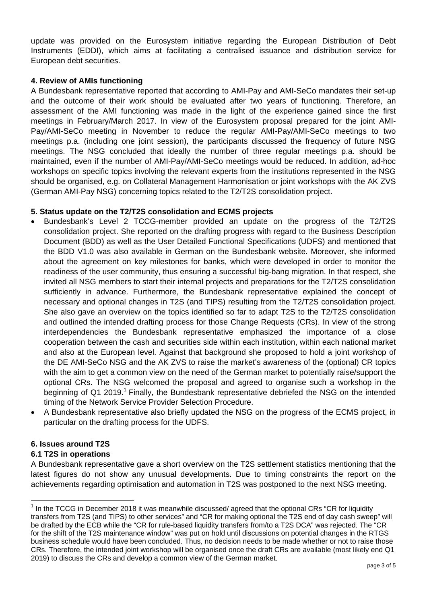update was provided on the Eurosystem initiative regarding the European Distribution of Debt Instruments (EDDI), which aims at facilitating a centralised issuance and distribution service for European debt securities.

### **4. Review of AMIs functioning**

A Bundesbank representative reported that according to AMI-Pay and AMI-SeCo mandates their set-up and the outcome of their work should be evaluated after two years of functioning. Therefore, an assessment of the AMI functioning was made in the light of the experience gained since the first meetings in February/March 2017. In view of the Eurosystem proposal prepared for the joint AMI-Pay/AMI-SeCo meeting in November to reduce the regular AMI-Pay/AMI-SeCo meetings to two meetings p.a. (including one joint session), the participants discussed the frequency of future NSG meetings. The NSG concluded that ideally the number of three regular meetings p.a. should be maintained, even if the number of AMI-Pay/AMI-SeCo meetings would be reduced. In addition, ad-hoc workshops on specific topics involving the relevant experts from the institutions represented in the NSG should be organised, e.g. on Collateral Management Harmonisation or joint workshops with the AK ZVS (German AMI-Pay NSG) concerning topics related to the T2/T2S consolidation project.

## **5. Status update on the T2/T2S consolidation and ECMS projects**

- Bundesbank's Level 2 TCCG-member provided an update on the progress of the T2/T2S consolidation project. She reported on the drafting progress with regard to the Business Description Document (BDD) as well as the User Detailed Functional Specifications (UDFS) and mentioned that the BDD V1.0 was also available in German on the Bundesbank website. Moreover, she informed about the agreement on key milestones for banks, which were developed in order to monitor the readiness of the user community, thus ensuring a successful big-bang migration. In that respect, she invited all NSG members to start their internal projects and preparations for the T2/T2S consolidation sufficiently in advance. Furthermore, the Bundesbank representative explained the concept of necessary and optional changes in T2S (and TIPS) resulting from the T2/T2S consolidation project. She also gave an overview on the topics identified so far to adapt T2S to the T2/T2S consolidation and outlined the intended drafting process for those Change Requests (CRs). In view of the strong interdependencies the Bundesbank representative emphasized the importance of a close cooperation between the cash and securities side within each institution, within each national market and also at the European level. Against that background she proposed to hold a joint workshop of the DE AMI-SeCo NSG and the AK ZVS to raise the market's awareness of the (optional) CR topics with the aim to get a common view on the need of the German market to potentially raise/support the optional CRs. The NSG welcomed the proposal and agreed to organise such a workshop in the beginning of Q1 2019.<sup>1</sup> Finally, the Bundesbank representative debriefed the NSG on the intended timing of the Network Service Provider Selection Procedure.
- A Bundesbank representative also briefly updated the NSG on the progress of the ECMS project, in particular on the drafting process for the UDFS.

### **6. Issues around T2S**

### **6.1 T2S in operations**

 $\overline{a}$ 

A Bundesbank representative gave a short overview on the T2S settlement statistics mentioning that the latest figures do not show any unusual developments. Due to timing constraints the report on the achievements regarding optimisation and automation in T2S was postponed to the next NSG meeting.

 $1$  In the TCCG in December 2018 it was meanwhile discussed/ agreed that the optional CRs "CR for liquidity transfers from T2S (and TIPS) to other services" and "CR for making optional the T2S end of day cash sweep" will be drafted by the ECB while the "CR for rule-based liquidity transfers from/to a T2S DCA" was rejected. The "CR for the shift of the T2S maintenance window" was put on hold until discussions on potential changes in the RTGS business schedule would have been concluded. Thus, no decision needs to be made whether or not to raise those CRs. Therefore, the intended joint workshop will be organised once the draft CRs are available (most likely end Q1 2019) to discuss the CRs and develop a common view of the German market.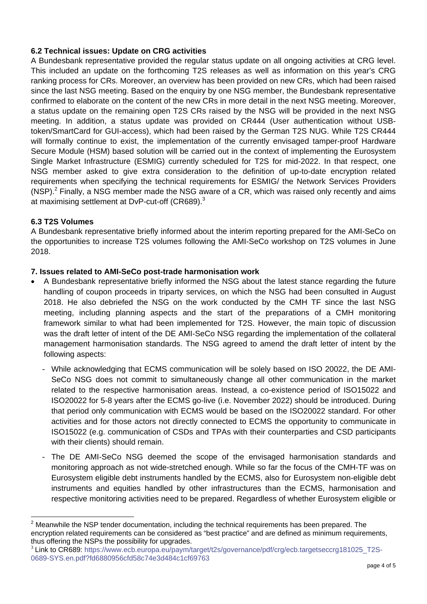# **6.2 Technical issues: Update on CRG activities**

A Bundesbank representative provided the regular status update on all ongoing activities at CRG level. This included an update on the forthcoming T2S releases as well as information on this year's CRG ranking process for CRs. Moreover, an overview has been provided on new CRs, which had been raised since the last NSG meeting. Based on the enquiry by one NSG member, the Bundesbank representative confirmed to elaborate on the content of the new CRs in more detail in the next NSG meeting. Moreover, a status update on the remaining open T2S CRs raised by the NSG will be provided in the next NSG meeting. In addition, a status update was provided on CR444 (User authentication without USBtoken/SmartCard for GUI-access), which had been raised by the German T2S NUG. While T2S CR444 will formally continue to exist, the implementation of the currently envisaged tamper-proof Hardware Secure Module (HSM) based solution will be carried out in the context of implementing the Eurosystem Single Market Infrastructure (ESMIG) currently scheduled for T2S for mid-2022. In that respect, one NSG member asked to give extra consideration to the definition of up-to-date encryption related requirements when specifying the technical requirements for ESMIG/ the Network Services Providers (NSP). $<sup>2</sup>$  Finally, a NSG member made the NSG aware of a CR, which was raised only recently and aims</sup> at maximising settlement at DvP-cut-off (CR689). $^3$ 

### **6.3 T2S Volumes**

A Bundesbank representative briefly informed about the interim reporting prepared for the AMI-SeCo on the opportunities to increase T2S volumes following the AMI-SeCo workshop on T2S volumes in June 2018.

## **7. Issues related to AMI-SeCo post-trade harmonisation work**

- A Bundesbank representative briefly informed the NSG about the latest stance regarding the future handling of coupon proceeds in triparty services, on which the NSG had been consulted in August 2018. He also debriefed the NSG on the work conducted by the CMH TF since the last NSG meeting, including planning aspects and the start of the preparations of a CMH monitoring framework similar to what had been implemented for T2S. However, the main topic of discussion was the draft letter of intent of the DE AMI-SeCo NSG regarding the implementation of the collateral management harmonisation standards. The NSG agreed to amend the draft letter of intent by the following aspects:
	- While acknowledging that ECMS communication will be solely based on ISO 20022, the DE AMI-SeCo NSG does not commit to simultaneously change all other communication in the market related to the respective harmonisation areas. Instead, a co-existence period of ISO15022 and ISO20022 for 5-8 years after the ECMS go-live (i.e. November 2022) should be introduced. During that period only communication with ECMS would be based on the ISO20022 standard. For other activities and for those actors not directly connected to ECMS the opportunity to communicate in ISO15022 (e.g. communication of CSDs and TPAs with their counterparties and CSD participants with their clients) should remain.
	- The DE AMI-SeCo NSG deemed the scope of the envisaged harmonisation standards and monitoring approach as not wide-stretched enough. While so far the focus of the CMH-TF was on Eurosystem eligible debt instruments handled by the ECMS, also for Eurosystem non-eligible debt instruments and equities handled by other infrastructures than the ECMS, harmonisation and respective monitoring activities need to be prepared. Regardless of whether Eurosystem eligible or

 $\frac{1}{2}$  Meanwhile the NSP tender documentation, including the technical requirements has been prepared. The encryption related requirements can be considered as "best practice" and are defined as minimum requirements, thus offering the NSPs the possibility for upgrades.

<sup>3</sup> Link to CR689: https://www.ecb.europa.eu/paym/target/t2s/governance/pdf/crg/ecb.targetseccrg181025\_T2S-0689-SYS.en.pdf?fd6880956cfd58c74e3d484c1cf69763